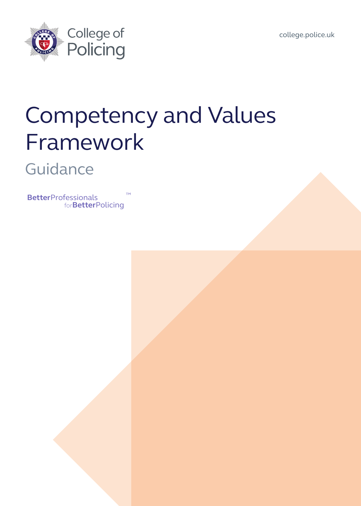



# Competency and Values Framework

### **Guidance**

**Better**Professionals for**Better**Policing ™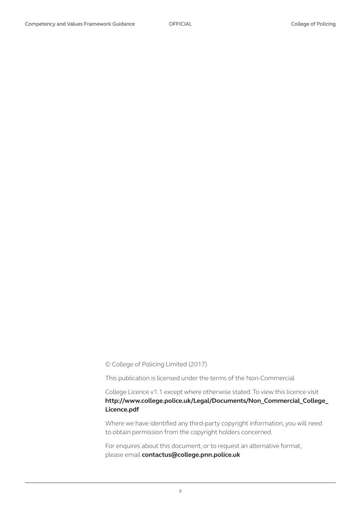© College of Policing Limited (2017)

This publication is licensed under the terms of the Non-Commercial

College Licence v1.1 except where otherwise stated. To view this licence visit **[http://www.college.police.uk/Legal/Documents/Non\\_Commercial\\_College\\_](http://www.college.police.uk/Legal/Documents/Non_Commercial_College_ Licence.pdf)  [Licence.pdf](http://www.college.police.uk/Legal/Documents/Non_Commercial_College_ Licence.pdf)**

Where we have identified any third-party copyright information, you will need to obtain permission from the copyright holders concerned.

For enquires about this document, or to request an alternative format, please email **[contactus@college.pnn.police.uk](mailto:contactus%40college.pnn.police.uk?subject=)**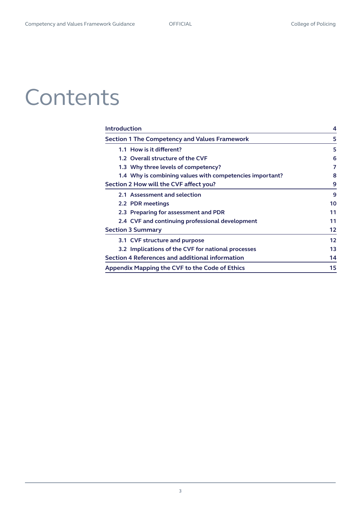# **Contents**

| <b>Introduction</b>                                      | 4  |
|----------------------------------------------------------|----|
| <b>Section 1 The Competency and Values Framework</b>     | 5  |
| 1.1 How is it different?                                 | 5  |
| 1.2 Overall structure of the CVF                         | 6  |
| 1.3 Why three levels of competency?                      | 7  |
| 1.4 Why is combining values with competencies important? | 8  |
| Section 2 How will the CVF affect you?                   | 9  |
| 2.1 Assessment and selection                             | 9  |
| 2.2 PDR meetings                                         | 10 |
| 2.3 Preparing for assessment and PDR                     | 11 |
| 2.4 CVF and continuing professional development          | 11 |
| <b>Section 3 Summary</b>                                 | 12 |
| 3.1 CVF structure and purpose                            | 12 |
| 3.2 Implications of the CVF for national processes       | 13 |
| Section 4 References and additional information          | 14 |
| Appendix Mapping the CVF to the Code of Ethics           | 15 |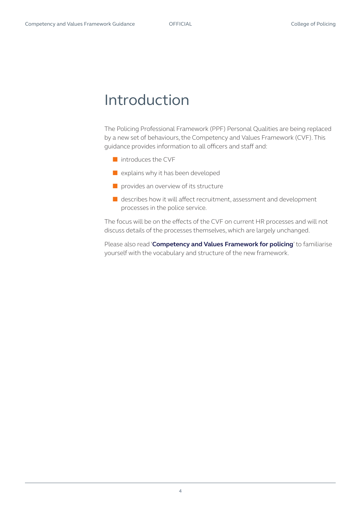### <span id="page-3-0"></span>Introduction

The Policing Professional Framework (PPF) Personal Qualities are being replaced by a new set of behaviours, the Competency and Values Framework (CVF). This guidance provides information to all officers and staff and:

- introduces the CVF
- explains why it has been developed
- provides an overview of its structure
- describes how it will affect recruitment, assessment and development processes in the police service.

The focus will be on the effects of the CVF on current HR processes and will not discuss details of the processes themselves, which are largely unchanged.

Please also read '**[Competency and Values Framework for policing](http://www.college.police.uk/What-we-do/Development/competency-and-values-framework/Documents/Competency-and-Values-Framework-for-Policing_4.11.16.pdf )**' to familiarise yourself with the vocabulary and structure of the new framework.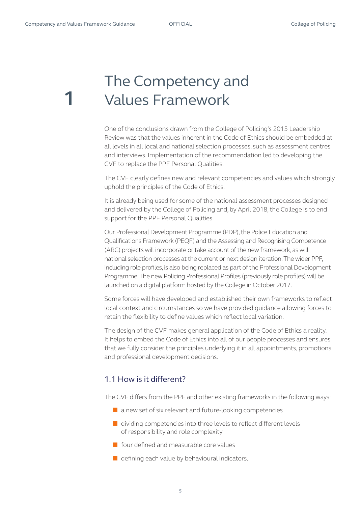<span id="page-4-0"></span>**1**

## The Competency and Values Framework

One of the conclusions drawn from the College of Policing's 2015 Leadership Review was that the values inherent in the Code of Ethics should be embedded at all levels in all local and national selection processes, such as assessment centres and interviews. Implementation of the recommendation led to developing the CVF to replace the PPF Personal Qualities.

The CVF clearly defines new and relevant competencies and values which strongly uphold the principles of the Code of Ethics.

It is already being used for some of the national assessment processes designed and delivered by the College of Policing and, by April 2018, the College is to end support for the PPF Personal Qualities.

Our Professional Development Programme (PDP), the Police Education and Qualifications Framework (PEQF) and the Assessing and Recognising Competence (ARC) projects will incorporate or take account of the new framework, as will national selection processes at the current or next design iteration. The wider PPF, including role profiles, is also being replaced as part of the Professional Development Programme. The new Policing Professional Profiles (previously role profiles) will be launched on a digital platform hosted by the College in October 2017.

Some forces will have developed and established their own frameworks to reflect local context and circumstances so we have provided guidance allowing forces to retain the flexibility to define values which reflect local variation.

The design of the CVF makes general application of the Code of Ethics a reality. It helps to embed the Code of Ethics into all of our people processes and ensures that we fully consider the principles underlying it in all appointments, promotions and professional development decisions.

### 1.1 How is it different?

The CVF differs from the PPF and other existing frameworks in the following ways:

- $\blacksquare$  a new set of six relevant and future-looking competencies
- dividing competencies into three levels to reflect different levels of responsibility and role complexity
- four defined and measurable core values
- $\blacksquare$  defining each value by behavioural indicators.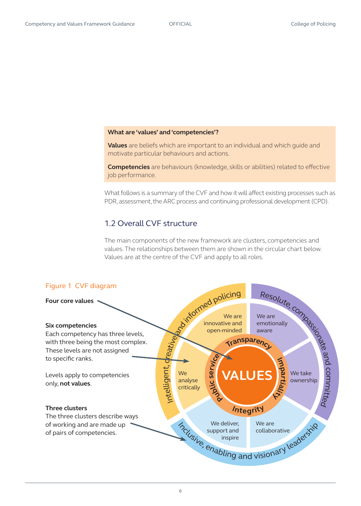#### <span id="page-5-0"></span>**What are 'values' and 'competencies'?**

**Values** are beliefs which are important to an individual and which guide and motivate particular behaviours and actions.

**Competencies** are behaviours (knowledge, skills or abilities) related to effective job performance.

What follows is a summary of the CVF and how it will affect existing processes such as PDR, assessment, the ARC process and continuing professional development (CPD).

#### 1.2 Overall CVF structure

The main components of the new framework are clusters, competencies and values. The relationships between them are shown in the circular chart below. Values are at the centre of the CVF and apply to all roles.

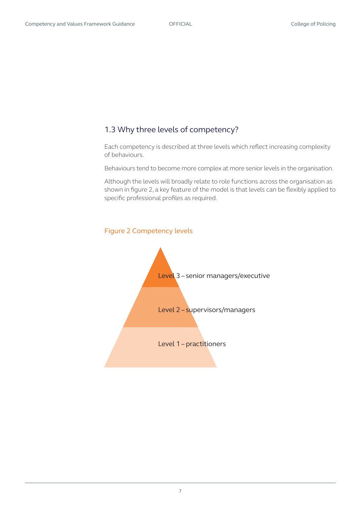#### <span id="page-6-0"></span>1.3 Why three levels of competency?

Each competency is described at three levels which reflect increasing complexity of behaviours.

Behaviours tend to become more complex at more senior levels in the organisation.

Although the levels will broadly relate to role functions across the organisation as shown in figure 2, a key feature of the model is that levels can be flexibly applied to specific professional profiles as required.



#### Figure 2 Competency levels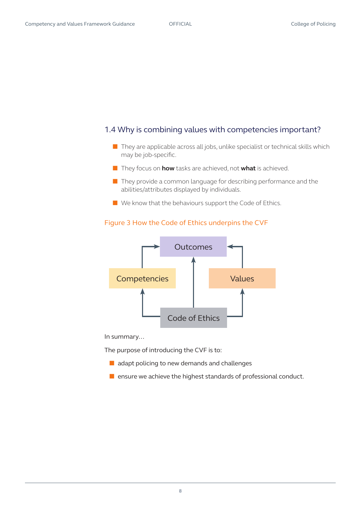#### <span id="page-7-0"></span>1.4 Why is combining values with competencies important?

- They are applicable across all jobs, unlike specialist or technical skills which may be job-specific.
- They focus on **how** tasks are achieved, not **what** is achieved.
- They provide a common language for describing performance and the abilities/attributes displayed by individuals.
- We know that the behaviours support the Code of Ethics.

#### Figure 3 How the Code of Ethics underpins the CVF



In summary…

The purpose of introducing the CVF is to:

- adapt policing to new demands and challenges
- ensure we achieve the highest standards of professional conduct.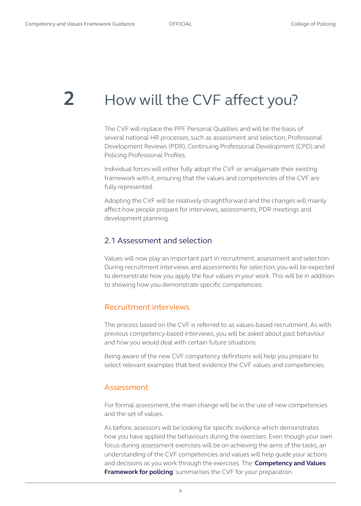## <span id="page-8-0"></span>**2** How will the CVF affect you?

The CVF will replace the PPF Personal Qualities and will be the basis of several national HR processes, such as assessment and selection, Professional Development Reviews (PDR), Continuing Professional Development (CPD) and Policing Professional Profiles.

Individual forces will either fully adopt the CVF or amalgamate their existing framework with it, ensuring that the values and competencies of the CVF are fully represented.

Adopting the CVF will be relatively straightforward and the changes will mainly affect how people prepare for interviews, assessments, PDR meetings and development planning.

#### 2.1 Assessment and selection

Values will now play an important part in recruitment, assessment and selection. During recruitment interviews and assessments for selection, you will be expected to demonstrate how you apply the four values in your work. This will be in addition to showing how you demonstrate specific competencies.

#### Recruitment interviews

The process based on the CVF is referred to as values-based recruitment. As with previous competency-based interviews, you will be asked about past behaviour and how you would deal with certain future situations.

Being aware of the new CVF competency definitions will help you prepare to select relevant examples that best evidence the CVF values and competencies.

#### Assessment

For formal assessment, the main change will be in the use of new competencies and the set of values.

As before, assessors will be looking for specific evidence which demonstrates how you have applied the behaviours during the exercises. Even though your own focus during assessment exercises will be on achieving the aims of the tasks, an understanding of the CVF competencies and values will help guide your actions and decisions as you work through the exercises. The '**[Competency and Values](http://www.college.police.uk/What-we-do/Development/competency-and-values-framework/Documents/Competency-and-Values-Framework-for-Policing_4.11.16.pdf)  [Framework for policing](http://www.college.police.uk/What-we-do/Development/competency-and-values-framework/Documents/Competency-and-Values-Framework-for-Policing_4.11.16.pdf)**' summarises the CVF for your preparation.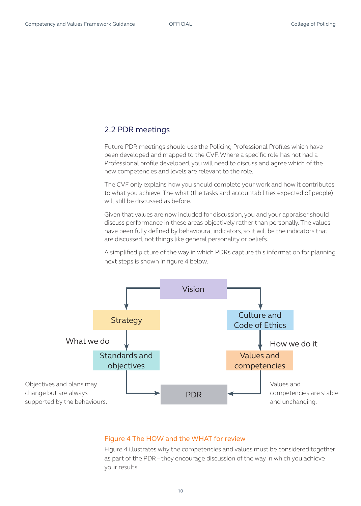### <span id="page-9-0"></span>2.2 PDR meetings

Future PDR meetings should use the Policing Professional Profiles which have been developed and mapped to the CVF. Where a specific role has not had a Professional profile developed, you will need to discuss and agree which of the new competencies and levels are relevant to the role.

The CVF only explains how you should complete your work and how it contributes to what you achieve. The what (the tasks and accountabilities expected of people) will still be discussed as before.

Given that values are now included for discussion, you and your appraiser should discuss performance in these areas objectively rather than personally. The values have been fully defined by behavioural indicators, so it will be the indicators that are discussed, not things like general personality or beliefs.

A simplified picture of the way in which PDRs capture this information for planning next steps is shown in figure 4 below.



#### Figure 4 The HOW and the WHAT for review

Figure 4 illustrates why the competencies and values must be considered together as part of the PDR – they encourage discussion of the way in which you achieve your results.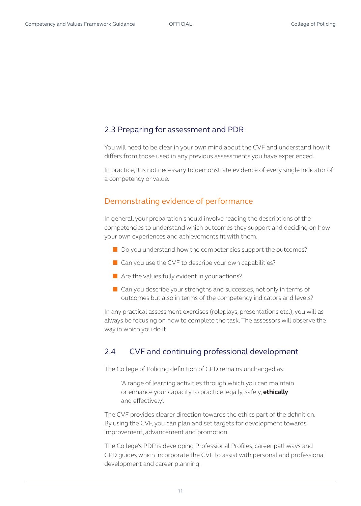#### <span id="page-10-0"></span>2.3 Preparing for assessment and PDR

You will need to be clear in your own mind about the CVF and understand how it differs from those used in any previous assessments you have experienced.

In practice, it is not necessary to demonstrate evidence of every single indicator of a competency or value.

#### Demonstrating evidence of performance

In general, your preparation should involve reading the descriptions of the competencies to understand which outcomes they support and deciding on how your own experiences and achievements fit with them.

- Do you understand how the competencies support the outcomes?
- $\blacksquare$  Can you use the CVF to describe your own capabilities?
- Are the values fully evident in your actions?
- Can you describe your strengths and successes, not only in terms of outcomes but also in terms of the competency indicators and levels?

In any practical assessment exercises (roleplays, presentations etc.), you will as always be focusing on how to complete the task. The assessors will observe the way in which you do it.

### 2.4 CVF and continuing professional development

The College of Policing definition of CPD remains unchanged as:

'A range of learning activities through which you can maintain or enhance your capacity to practice legally, safely, **ethically** and effectively'.

The CVF provides clearer direction towards the ethics part of the definition. By using the CVF, you can plan and set targets for development towards improvement, advancement and promotion.

The College's PDP is developing Professional Profiles, career pathways and CPD guides which incorporate the CVF to assist with personal and professional development and career planning.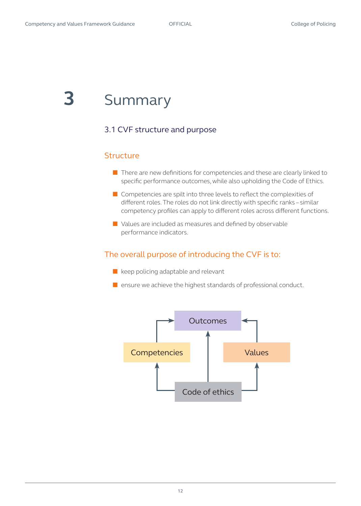### <span id="page-11-0"></span>**3** Summary

### 3.1 CVF structure and purpose

#### **Structure**

- There are new definitions for competencies and these are clearly linked to specific performance outcomes, while also upholding the Code of Ethics.
- Competencies are spilt into three levels to reflect the complexities of different roles. The roles do not link directly with specific ranks – similar competency profiles can apply to different roles across different functions.
- Values are included as measures and defined by observable performance indicators.

### The overall purpose of introducing the CVF is to:

- keep policing adaptable and relevant
- ensure we achieve the highest standards of professional conduct.

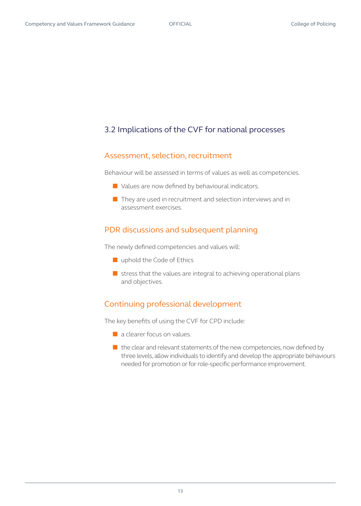### <span id="page-12-0"></span>3.2 Implications of the CVF for national processes

#### Assessment, selection, recruitment

Behaviour will be assessed in terms of values as well as competencies.

- Values are now defined by behavioural indicators.
- They are used in recruitment and selection interviews and in assessment exercises.

#### PDR discussions and subsequent planning

The newly defined competencies and values will:

- uphold the Code of Ethics
- $\blacksquare$  stress that the values are integral to achieving operational plans and objectives.

### Continuing professional development

The key benefits of using the CVF for CPD include:

- a clearer focus on values.
- the clear and relevant statements of the new competencies, now defined by three levels, allow individuals to identify and develop the appropriate behaviours needed for promotion or for role-specific performance improvement.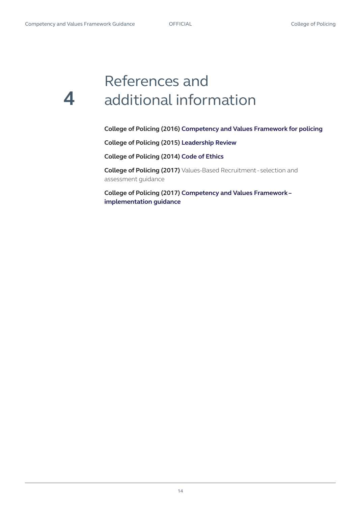### <span id="page-13-0"></span>References and **4** additional information

**College of Policing (2016) [Competency and Values Framework for policing](http://www.college.police.uk/What-we-do/Development/competency-and-values-framework/Documents/Competency-and-Values-Framework-for-Policing_4.11.16.pdf)**

**College of Policing (2015) [Leadership Review](http://www.college.police.uk/What-we-do/Development/Promotion/the-leadership-review/Documents/Leadership_Review_Final_June-2015.pdf )** 

**College of Policing (2014) [Code of Ethics](http://www.college.police.uk/What-we-do/Ethics/Documents/Code_of_Ethics.pdf )**

**College of Policing (2017)** Values-Based Recruitment - selection and assessment guidance

**College of Policing (2017) [Competency and Values Framework –](http://www.college.police.uk/What-we-do/Development/competency-and-values-framework/Documents/Competency%20and%20Values%20Framework)  [implementation guidance](http://www.college.police.uk/What-we-do/Development/competency-and-values-framework/Documents/Competency%20and%20Values%20Framework)**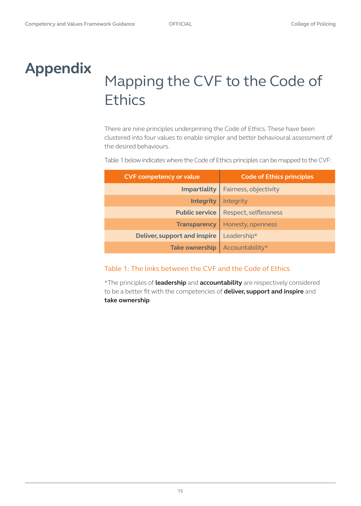### <span id="page-14-0"></span>**Appendix**

## Mapping the CVF to the Code of **Ethics**

There are nine principles underpinning the Code of Ethics. These have been clustered into four values to enable simpler and better behavioural assessment of the desired behaviours.

Table 1 below indicates where the Code of Ethics principles can be mapped to the CVF:

| <b>CVF competency or value</b>      | <b>Code of Ethics principles</b> |  |
|-------------------------------------|----------------------------------|--|
| <b>Impartiality</b>                 | Fairness, objectivity            |  |
| <b>Integrity</b>                    | Integrity                        |  |
| <b>Public service</b>               | Respect, selflessness            |  |
| <b>Transparency</b>                 | Honesty, openness                |  |
| <b>Deliver, support and inspire</b> | Leadership*                      |  |
| <b>Take ownership</b>               | Accountability*                  |  |

#### Table 1: The links between the CVF and the Code of Ethics

\*The principles of **leadership** and **accountability** are respectively considered to be a better fit with the competencies of **deliver, support and inspire** and **take ownership**.